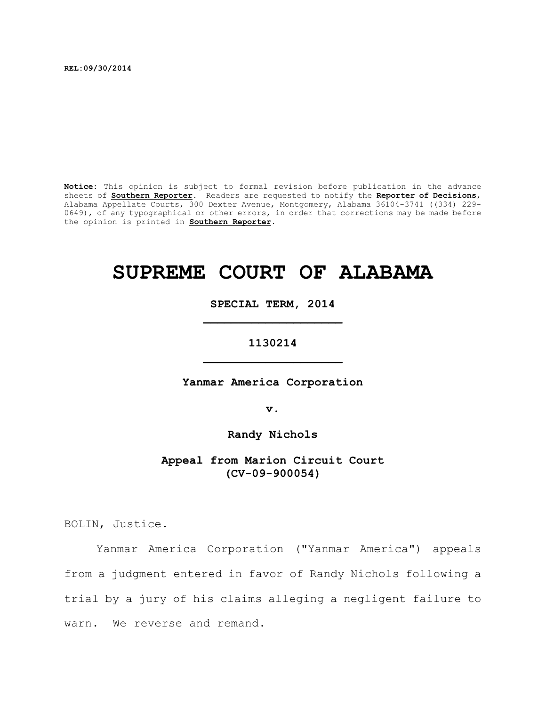**REL:09/30/2014**

**Notice:** This opinion is subject to formal revision before publication in the advance sheets of **Southern Reporter**. Readers are requested to notify the **Reporter of Decisions**, Alabama Appellate Courts, 300 Dexter Avenue, Montgomery, Alabama 36104-3741 ((334) 229- 0649), of any typographical or other errors, in order that corrections may be made before the opinion is printed in **Southern Reporter**.

# **SUPREME COURT OF ALABAMA**

**SPECIAL TERM, 2014 \_\_\_\_\_\_\_\_\_\_\_\_\_\_\_\_\_\_\_\_**

**1130214 \_\_\_\_\_\_\_\_\_\_\_\_\_\_\_\_\_\_\_\_**

**Yanmar America Corporation**

**v.**

**Randy Nichols**

**Appeal from Marion Circuit Court (CV-09-900054)**

BOLIN, Justice.

Yanmar America Corporation ("Yanmar America") appeals from a judgment entered in favor of Randy Nichols following a trial by a jury of his claims alleging a negligent failure to warn. We reverse and remand.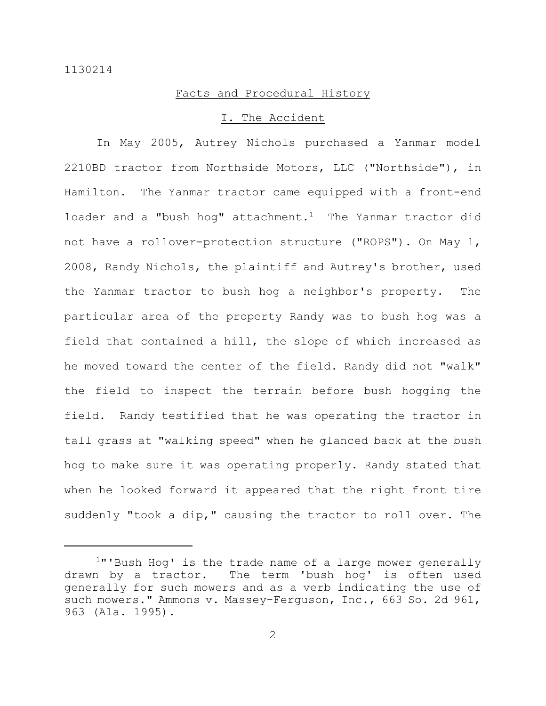# Facts and Procedural History

### I. The Accident

In May 2005, Autrey Nichols purchased a Yanmar model 2210BD tractor from Northside Motors, LLC ("Northside"), in Hamilton. The Yanmar tractor came equipped with a front-end loader and a "bush hog" attachment.<sup>1</sup> The Yanmar tractor did not have a rollover-protection structure ("ROPS"). On May 1, 2008, Randy Nichols, the plaintiff and Autrey's brother, used the Yanmar tractor to bush hog a neighbor's property. The particular area of the property Randy was to bush hog was a field that contained a hill, the slope of which increased as he moved toward the center of the field. Randy did not "walk" the field to inspect the terrain before bush hogging the field. Randy testified that he was operating the tractor in tall grass at "walking speed" when he glanced back at the bush hog to make sure it was operating properly. Randy stated that when he looked forward it appeared that the right front tire suddenly "took a dip," causing the tractor to roll over. The

 $1$ "'Bush Hog' is the trade name of a large mower generally drawn by a tractor. The term 'bush hog' is often used generally for such mowers and as a verb indicating the use of such mowers." Ammons v. Massey-Ferguson, Inc., 663 So. 2d 961, 963 (Ala. 1995).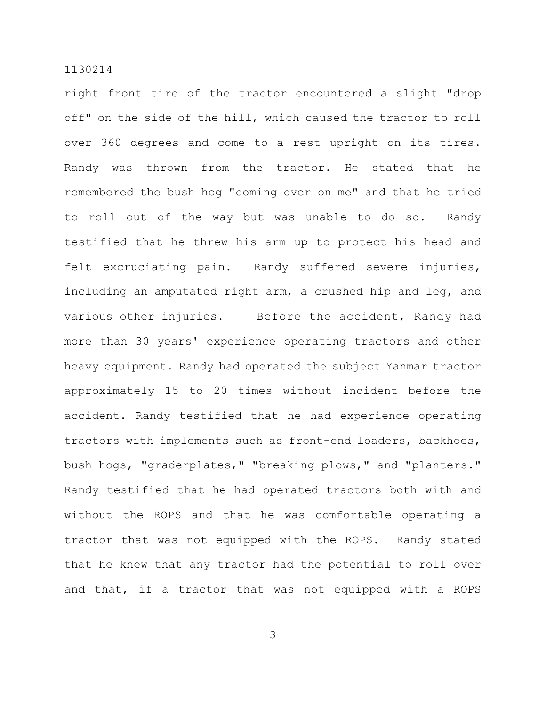right front tire of the tractor encountered a slight "drop off" on the side of the hill, which caused the tractor to roll over 360 degrees and come to a rest upright on its tires. Randy was thrown from the tractor. He stated that he remembered the bush hog "coming over on me" and that he tried to roll out of the way but was unable to do so. Randy testified that he threw his arm up to protect his head and felt excruciating pain. Randy suffered severe injuries, including an amputated right arm, a crushed hip and leg, and various other injuries. Before the accident, Randy had more than 30 years' experience operating tractors and other heavy equipment. Randy had operated the subject Yanmar tractor approximately 15 to 20 times without incident before the accident. Randy testified that he had experience operating tractors with implements such as front-end loaders, backhoes, bush hogs, "graderplates," "breaking plows," and "planters." Randy testified that he had operated tractors both with and without the ROPS and that he was comfortable operating a tractor that was not equipped with the ROPS. Randy stated that he knew that any tractor had the potential to roll over and that, if a tractor that was not equipped with a ROPS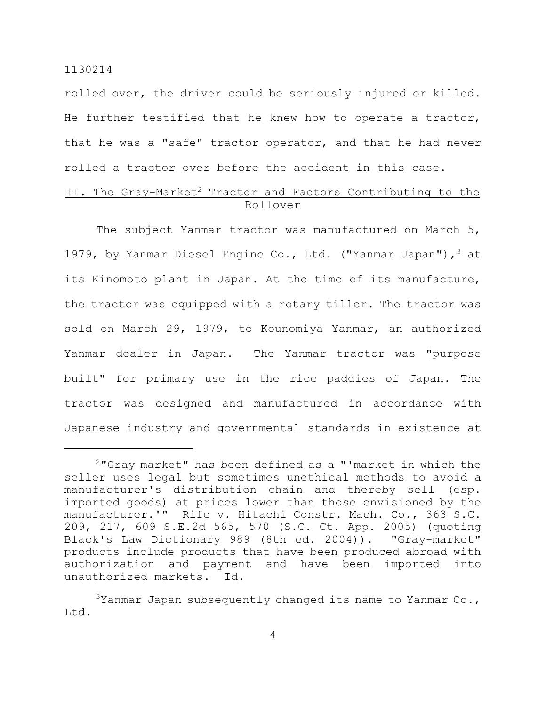rolled over, the driver could be seriously injured or killed. He further testified that he knew how to operate a tractor, that he was a "safe" tractor operator, and that he had never rolled a tractor over before the accident in this case.

# II. The Gray-Market<sup>2</sup> Tractor and Factors Contributing to the Rollover

The subject Yanmar tractor was manufactured on March 5, 1979, by Yanmar Diesel Engine Co., Ltd. ("Yanmar Japan"),  $3$  at its Kinomoto plant in Japan. At the time of its manufacture, the tractor was equipped with a rotary tiller. The tractor was sold on March 29, 1979, to Kounomiya Yanmar, an authorized Yanmar dealer in Japan. The Yanmar tractor was "purpose built" for primary use in the rice paddies of Japan. The tractor was designed and manufactured in accordance with Japanese industry and governmental standards in existence at

 $2$ "Gray market" has been defined as a "'market in which the seller uses legal but sometimes unethical methods to avoid a manufacturer's distribution chain and thereby sell (esp. imported goods) at prices lower than those envisioned by the manufacturer.'" Rife v. Hitachi Constr. Mach. Co., 363 S.C. 209, 217, 609 S.E.2d 565, 570 (S.C. Ct. App. 2005) (quoting Black's Law Dictionary 989 (8th ed. 2004)). "Gray-market" products include products that have been produced abroad with authorization and payment and have been imported into unauthorized markets. Id.

 $3$ Yanmar Japan subsequently changed its name to Yanmar Co., Ltd.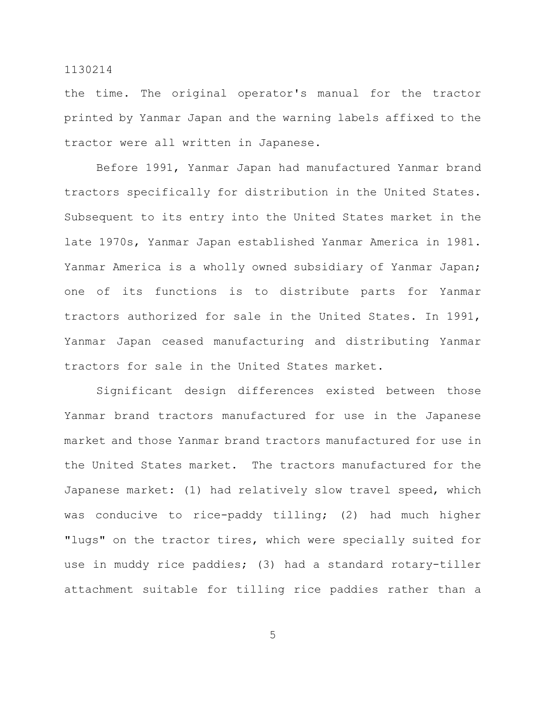the time. The original operator's manual for the tractor printed by Yanmar Japan and the warning labels affixed to the tractor were all written in Japanese.

Before 1991, Yanmar Japan had manufactured Yanmar brand tractors specifically for distribution in the United States. Subsequent to its entry into the United States market in the late 1970s, Yanmar Japan established Yanmar America in 1981. Yanmar America is a wholly owned subsidiary of Yanmar Japan; one of its functions is to distribute parts for Yanmar tractors authorized for sale in the United States. In 1991, Yanmar Japan ceased manufacturing and distributing Yanmar tractors for sale in the United States market.

Significant design differences existed between those Yanmar brand tractors manufactured for use in the Japanese market and those Yanmar brand tractors manufactured for use in the United States market. The tractors manufactured for the Japanese market: (1) had relatively slow travel speed, which was conducive to rice-paddy tilling; (2) had much higher "lugs" on the tractor tires, which were specially suited for use in muddy rice paddies; (3) had a standard rotary-tiller attachment suitable for tilling rice paddies rather than a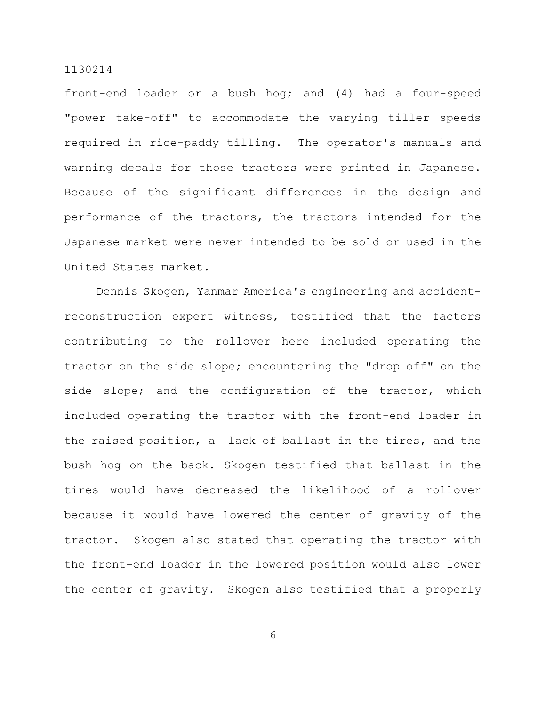front-end loader or a bush hog; and (4) had a four-speed "power take-off" to accommodate the varying tiller speeds required in rice-paddy tilling. The operator's manuals and warning decals for those tractors were printed in Japanese. Because of the significant differences in the design and performance of the tractors, the tractors intended for the Japanese market were never intended to be sold or used in the United States market.

Dennis Skogen, Yanmar America's engineering and accidentreconstruction expert witness, testified that the factors contributing to the rollover here included operating the tractor on the side slope; encountering the "drop off" on the side slope; and the configuration of the tractor, which included operating the tractor with the front-end loader in the raised position, a lack of ballast in the tires, and the bush hog on the back. Skogen testified that ballast in the tires would have decreased the likelihood of a rollover because it would have lowered the center of gravity of the tractor. Skogen also stated that operating the tractor with the front-end loader in the lowered position would also lower the center of gravity. Skogen also testified that a properly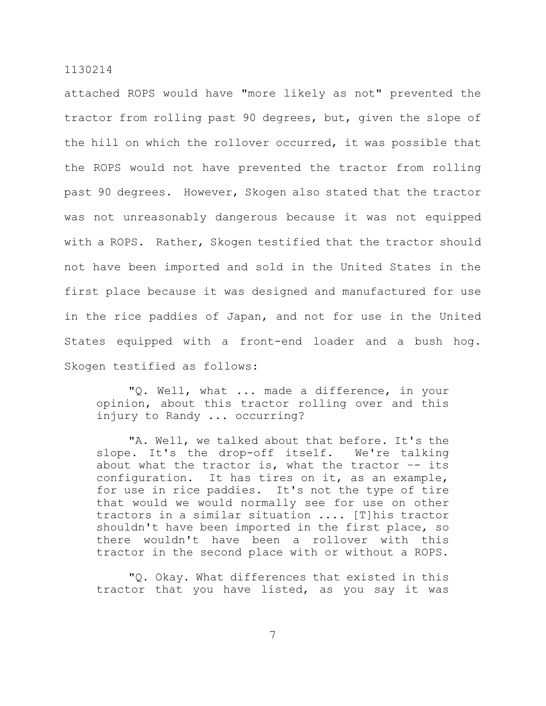attached ROPS would have "more likely as not" prevented the tractor from rolling past 90 degrees, but, given the slope of the hill on which the rollover occurred, it was possible that the ROPS would not have prevented the tractor from rolling past 90 degrees. However, Skogen also stated that the tractor was not unreasonably dangerous because it was not equipped with a ROPS. Rather, Skogen testified that the tractor should not have been imported and sold in the United States in the first place because it was designed and manufactured for use in the rice paddies of Japan, and not for use in the United States equipped with a front-end loader and a bush hog. Skogen testified as follows:

"Q. Well, what ... made a difference, in your opinion, about this tractor rolling over and this injury to Randy ... occurring?

"A. Well, we talked about that before. It's the slope. It's the drop-off itself. We're talking about what the tractor is, what the tractor  $-$ - its configuration. It has tires on it, as an example, for use in rice paddies. It's not the type of tire that would we would normally see for use on other tractors in a similar situation .... [T]his tractor shouldn't have been imported in the first place, so there wouldn't have been a rollover with this tractor in the second place with or without a ROPS.

"Q. Okay. What differences that existed in this tractor that you have listed, as you say it was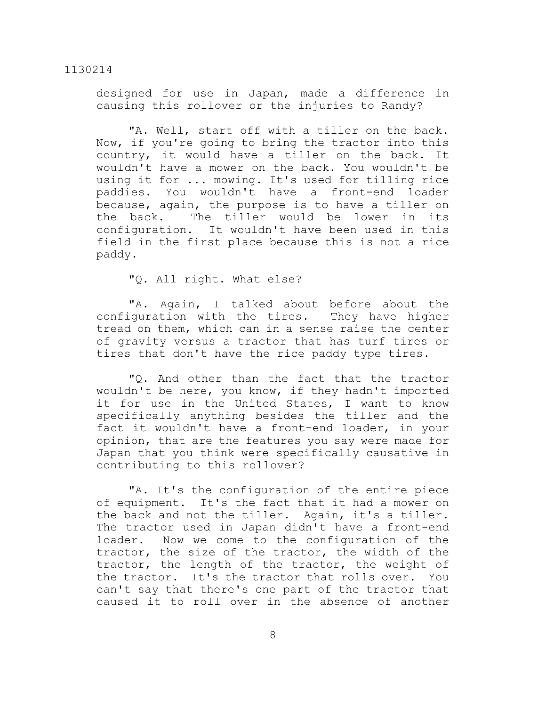designed for use in Japan, made a difference in causing this rollover or the injuries to Randy?

"A. Well, start off with a tiller on the back. Now, if you're going to bring the tractor into this country, it would have a tiller on the back. It wouldn't have a mower on the back. You wouldn't be using it for ... mowing. It's used for tilling rice paddies. You wouldn't have a front-end loader because, again, the purpose is to have a tiller on the back. The tiller would be lower in its configuration. It wouldn't have been used in this field in the first place because this is not a rice paddy.

"Q. All right. What else?

"A. Again, I talked about before about the configuration with the tires. They have higher tread on them, which can in a sense raise the center of gravity versus a tractor that has turf tires or tires that don't have the rice paddy type tires.

"Q. And other than the fact that the tractor wouldn't be here, you know, if they hadn't imported it for use in the United States, I want to know specifically anything besides the tiller and the fact it wouldn't have a front-end loader, in your opinion, that are the features you say were made for Japan that you think were specifically causative in contributing to this rollover?

"A. It's the configuration of the entire piece of equipment. It's the fact that it had a mower on the back and not the tiller. Again, it's a tiller. The tractor used in Japan didn't have a front-end loader. Now we come to the configuration of the tractor, the size of the tractor, the width of the tractor, the length of the tractor, the weight of the tractor. It's the tractor that rolls over. You can't say that there's one part of the tractor that caused it to roll over in the absence of another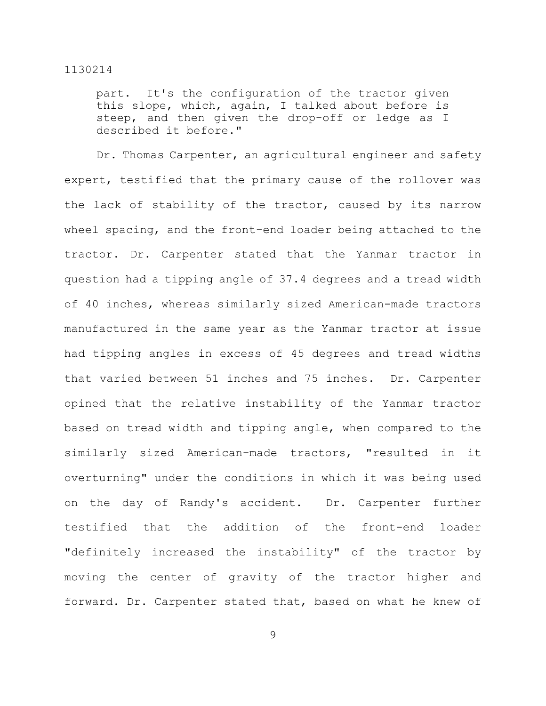part. It's the configuration of the tractor given this slope, which, again, I talked about before is steep, and then given the drop-off or ledge as I described it before."

Dr. Thomas Carpenter, an agricultural engineer and safety expert, testified that the primary cause of the rollover was the lack of stability of the tractor, caused by its narrow wheel spacing, and the front-end loader being attached to the tractor. Dr. Carpenter stated that the Yanmar tractor in question had a tipping angle of 37.4 degrees and a tread width of 40 inches, whereas similarly sized American-made tractors manufactured in the same year as the Yanmar tractor at issue had tipping angles in excess of 45 degrees and tread widths that varied between 51 inches and 75 inches. Dr. Carpenter opined that the relative instability of the Yanmar tractor based on tread width and tipping angle, when compared to the similarly sized American-made tractors, "resulted in it overturning" under the conditions in which it was being used on the day of Randy's accident. Dr. Carpenter further testified that the addition of the front-end loader "definitely increased the instability" of the tractor by moving the center of gravity of the tractor higher and forward. Dr. Carpenter stated that, based on what he knew of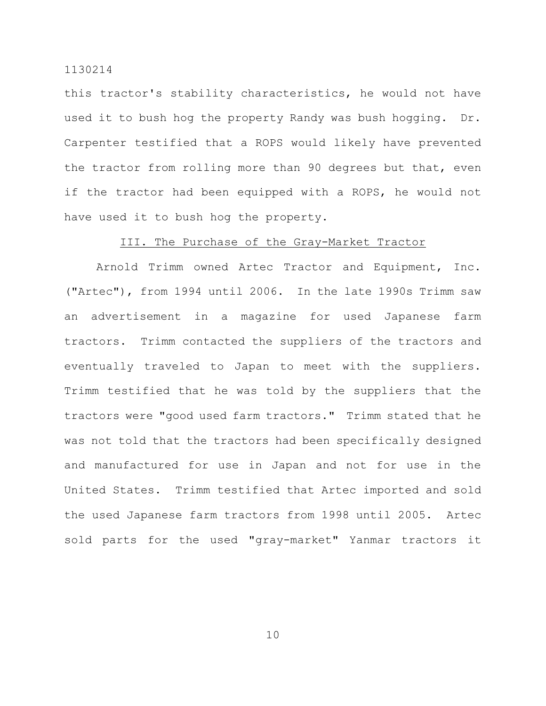this tractor's stability characteristics, he would not have used it to bush hog the property Randy was bush hogging. Dr. Carpenter testified that a ROPS would likely have prevented the tractor from rolling more than 90 degrees but that, even if the tractor had been equipped with a ROPS, he would not have used it to bush hog the property.

## III. The Purchase of the Gray-Market Tractor

Arnold Trimm owned Artec Tractor and Equipment, Inc. ("Artec"), from 1994 until 2006. In the late 1990s Trimm saw an advertisement in a magazine for used Japanese farm tractors. Trimm contacted the suppliers of the tractors and eventually traveled to Japan to meet with the suppliers. Trimm testified that he was told by the suppliers that the tractors were "good used farm tractors." Trimm stated that he was not told that the tractors had been specifically designed and manufactured for use in Japan and not for use in the United States. Trimm testified that Artec imported and sold the used Japanese farm tractors from 1998 until 2005. Artec sold parts for the used "gray-market" Yanmar tractors it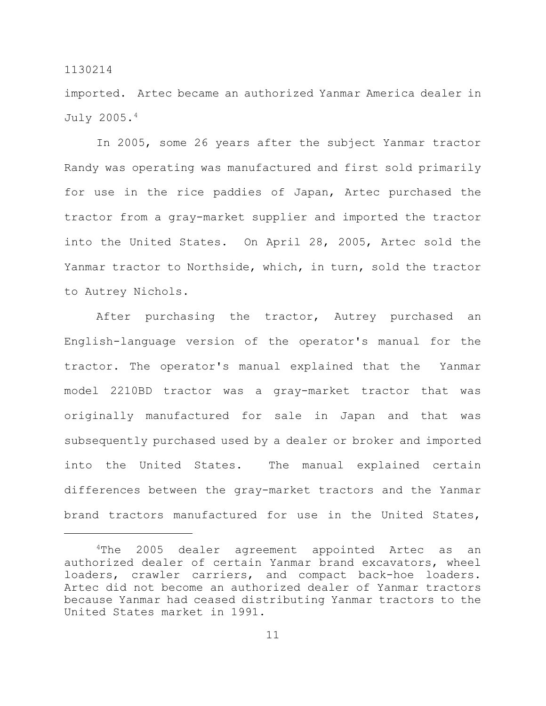imported. Artec became an authorized Yanmar America dealer in July 2005.<sup>4</sup>

In 2005, some 26 years after the subject Yanmar tractor Randy was operating was manufactured and first sold primarily for use in the rice paddies of Japan, Artec purchased the tractor from a gray-market supplier and imported the tractor into the United States. On April 28, 2005, Artec sold the Yanmar tractor to Northside, which, in turn, sold the tractor to Autrey Nichols.

After purchasing the tractor, Autrey purchased an English-language version of the operator's manual for the tractor. The operator's manual explained that the Yanmar model 2210BD tractor was a gray-market tractor that was originally manufactured for sale in Japan and that was subsequently purchased used by a dealer or broker and imported into the United States. The manual explained certain differences between the gray-market tractors and the Yanmar brand tractors manufactured for use in the United States,

 $4$ The 2005 dealer agreement appointed Artec as an authorized dealer of certain Yanmar brand excavators, wheel loaders, crawler carriers, and compact back-hoe loaders. Artec did not become an authorized dealer of Yanmar tractors because Yanmar had ceased distributing Yanmar tractors to the United States market in 1991.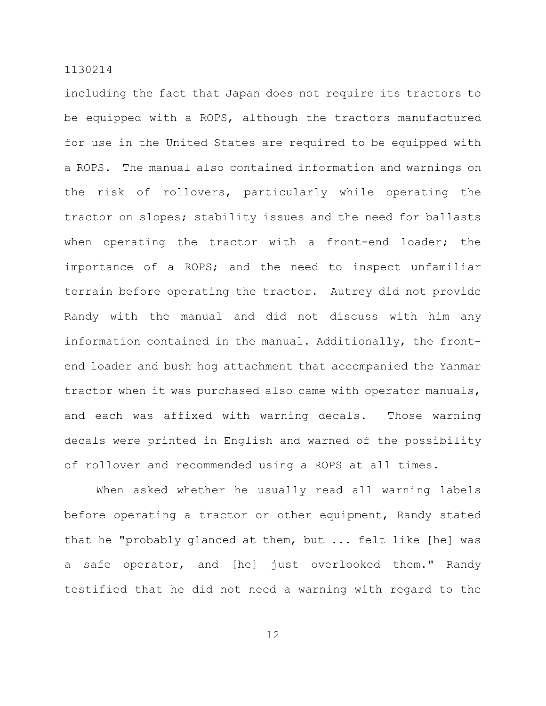including the fact that Japan does not require its tractors to be equipped with a ROPS, although the tractors manufactured for use in the United States are required to be equipped with a ROPS. The manual also contained information and warnings on the risk of rollovers, particularly while operating the tractor on slopes; stability issues and the need for ballasts when operating the tractor with a front-end loader; the importance of a ROPS; and the need to inspect unfamiliar terrain before operating the tractor. Autrey did not provide Randy with the manual and did not discuss with him any information contained in the manual. Additionally, the frontend loader and bush hog attachment that accompanied the Yanmar tractor when it was purchased also came with operator manuals, and each was affixed with warning decals. Those warning decals were printed in English and warned of the possibility of rollover and recommended using a ROPS at all times.

When asked whether he usually read all warning labels before operating a tractor or other equipment, Randy stated that he "probably glanced at them, but ... felt like [he] was a safe operator, and [he] just overlooked them." Randy testified that he did not need a warning with regard to the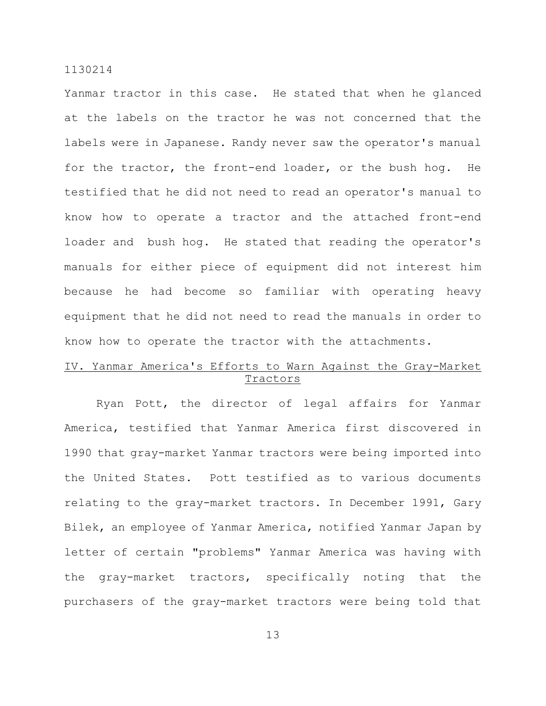Yanmar tractor in this case. He stated that when he glanced at the labels on the tractor he was not concerned that the labels were in Japanese. Randy never saw the operator's manual for the tractor, the front-end loader, or the bush hog. He testified that he did not need to read an operator's manual to know how to operate a tractor and the attached front-end loader and bush hog. He stated that reading the operator's manuals for either piece of equipment did not interest him because he had become so familiar with operating heavy equipment that he did not need to read the manuals in order to know how to operate the tractor with the attachments.

# IV. Yanmar America's Efforts to Warn Against the Gray-Market Tractors

Ryan Pott, the director of legal affairs for Yanmar America, testified that Yanmar America first discovered in 1990 that gray-market Yanmar tractors were being imported into the United States. Pott testified as to various documents relating to the gray-market tractors. In December 1991, Gary Bilek, an employee of Yanmar America, notified Yanmar Japan by letter of certain "problems" Yanmar America was having with the gray-market tractors, specifically noting that the purchasers of the gray-market tractors were being told that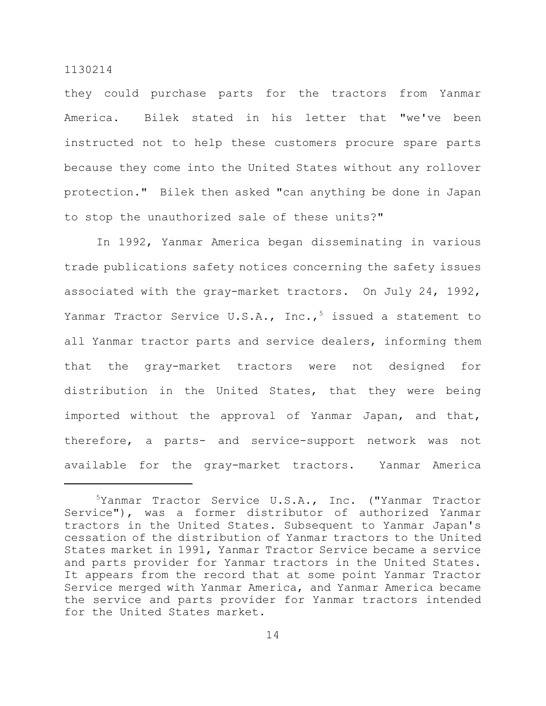they could purchase parts for the tractors from Yanmar America. Bilek stated in his letter that "we've been instructed not to help these customers procure spare parts because they come into the United States without any rollover protection." Bilek then asked "can anything be done in Japan to stop the unauthorized sale of these units?"

In 1992, Yanmar America began disseminating in various trade publications safety notices concerning the safety issues associated with the gray-market tractors. On July 24, 1992, Yanmar Tractor Service U.S.A., Inc.,<sup>5</sup> issued a statement to all Yanmar tractor parts and service dealers, informing them that the gray-market tractors were not designed for distribution in the United States, that they were being imported without the approval of Yanmar Japan, and that, therefore, a parts- and service-support network was not available for the gray-market tractors. Yanmar America

<sup>&</sup>lt;sup>5</sup>Yanmar Tractor Service U.S.A., Inc. ("Yanmar Tractor Service"), was a former distributor of authorized Yanmar tractors in the United States. Subsequent to Yanmar Japan's cessation of the distribution of Yanmar tractors to the United States market in 1991, Yanmar Tractor Service became a service and parts provider for Yanmar tractors in the United States. It appears from the record that at some point Yanmar Tractor Service merged with Yanmar America, and Yanmar America became the service and parts provider for Yanmar tractors intended for the United States market.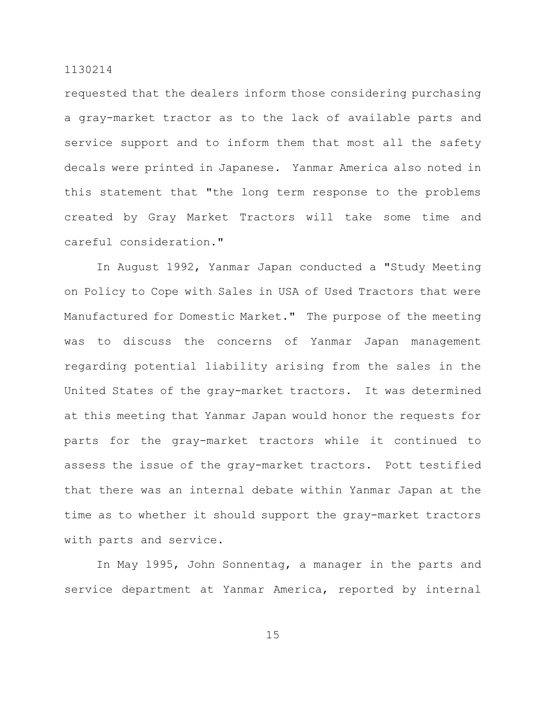requested that the dealers inform those considering purchasing a gray-market tractor as to the lack of available parts and service support and to inform them that most all the safety decals were printed in Japanese. Yanmar America also noted in this statement that "the long term response to the problems created by Gray Market Tractors will take some time and careful consideration."

In August 1992, Yanmar Japan conducted a "Study Meeting on Policy to Cope with Sales in USA of Used Tractors that were Manufactured for Domestic Market." The purpose of the meeting was to discuss the concerns of Yanmar Japan management regarding potential liability arising from the sales in the United States of the gray-market tractors. It was determined at this meeting that Yanmar Japan would honor the requests for parts for the gray-market tractors while it continued to assess the issue of the gray-market tractors. Pott testified that there was an internal debate within Yanmar Japan at the time as to whether it should support the gray-market tractors with parts and service.

In May 1995, John Sonnentag, a manager in the parts and service department at Yanmar America, reported by internal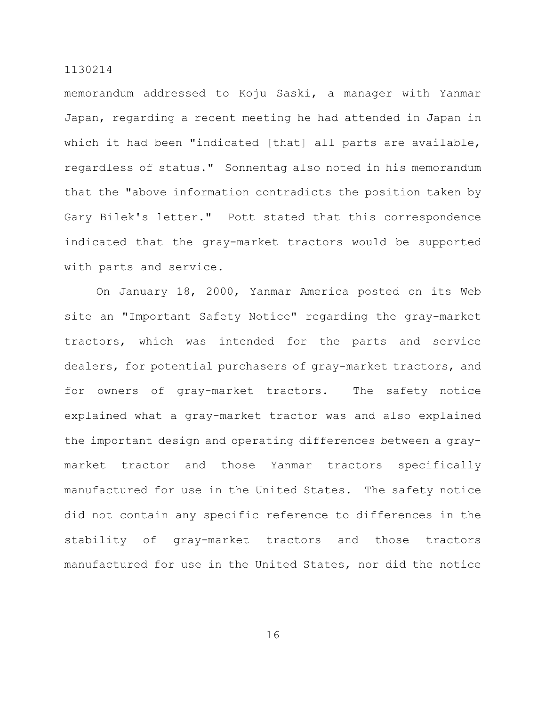memorandum addressed to Koju Saski, a manager with Yanmar Japan, regarding a recent meeting he had attended in Japan in which it had been "indicated [that] all parts are available, regardless of status." Sonnentag also noted in his memorandum that the "above information contradicts the position taken by Gary Bilek's letter." Pott stated that this correspondence indicated that the gray-market tractors would be supported with parts and service.

On January 18, 2000, Yanmar America posted on its Web site an "Important Safety Notice" regarding the gray-market tractors, which was intended for the parts and service dealers, for potential purchasers of gray-market tractors, and for owners of gray-market tractors. The safety notice explained what a gray-market tractor was and also explained the important design and operating differences between a graymarket tractor and those Yanmar tractors specifically manufactured for use in the United States. The safety notice did not contain any specific reference to differences in the stability of gray-market tractors and those tractors manufactured for use in the United States, nor did the notice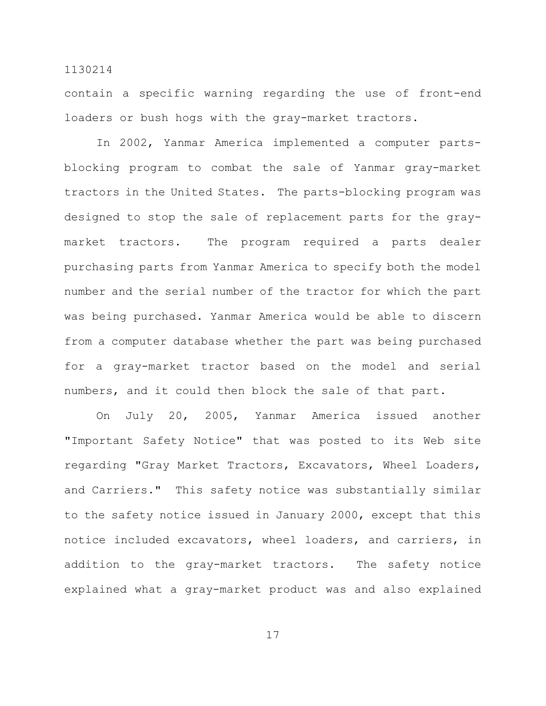contain a specific warning regarding the use of front-end loaders or bush hogs with the gray-market tractors.

In 2002, Yanmar America implemented a computer partsblocking program to combat the sale of Yanmar gray-market tractors in the United States. The parts-blocking program was designed to stop the sale of replacement parts for the graymarket tractors. The program required a parts dealer purchasing parts from Yanmar America to specify both the model number and the serial number of the tractor for which the part was being purchased. Yanmar America would be able to discern from a computer database whether the part was being purchased for a gray-market tractor based on the model and serial numbers, and it could then block the sale of that part.

On July 20, 2005, Yanmar America issued another "Important Safety Notice" that was posted to its Web site regarding "Gray Market Tractors, Excavators, Wheel Loaders, and Carriers." This safety notice was substantially similar to the safety notice issued in January 2000, except that this notice included excavators, wheel loaders, and carriers, in addition to the gray-market tractors. The safety notice explained what a gray-market product was and also explained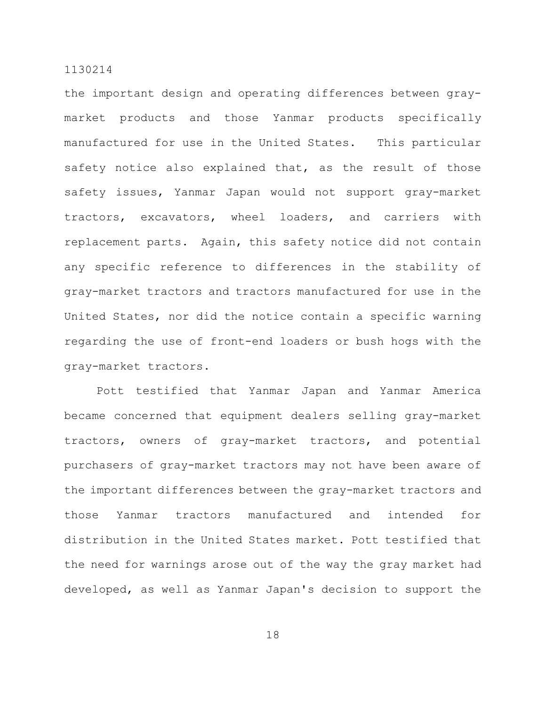the important design and operating differences between graymarket products and those Yanmar products specifically manufactured for use in the United States. This particular safety notice also explained that, as the result of those safety issues, Yanmar Japan would not support gray-market tractors, excavators, wheel loaders, and carriers with replacement parts. Again, this safety notice did not contain any specific reference to differences in the stability of gray-market tractors and tractors manufactured for use in the United States, nor did the notice contain a specific warning regarding the use of front-end loaders or bush hogs with the gray-market tractors.

Pott testified that Yanmar Japan and Yanmar America became concerned that equipment dealers selling gray-market tractors, owners of gray-market tractors, and potential purchasers of gray-market tractors may not have been aware of the important differences between the gray-market tractors and those Yanmar tractors manufactured and intended for distribution in the United States market. Pott testified that the need for warnings arose out of the way the gray market had developed, as well as Yanmar Japan's decision to support the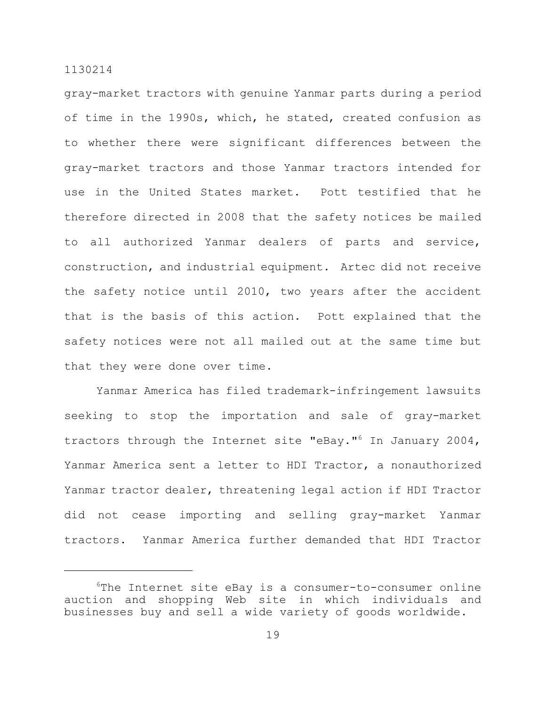gray-market tractors with genuine Yanmar parts during a period of time in the 1990s, which, he stated, created confusion as to whether there were significant differences between the gray-market tractors and those Yanmar tractors intended for use in the United States market. Pott testified that he therefore directed in 2008 that the safety notices be mailed to all authorized Yanmar dealers of parts and service, construction, and industrial equipment. Artec did not receive the safety notice until 2010, two years after the accident that is the basis of this action. Pott explained that the safety notices were not all mailed out at the same time but that they were done over time.

Yanmar America has filed trademark-infringement lawsuits seeking to stop the importation and sale of gray-market tractors through the Internet site "eBay." $6$  In January 2004, Yanmar America sent a letter to HDI Tractor, a nonauthorized Yanmar tractor dealer, threatening legal action if HDI Tractor did not cease importing and selling gray-market Yanmar tractors. Yanmar America further demanded that HDI Tractor

 $6$ The Internet site eBay is a consumer-to-consumer online auction and shopping Web site in which individuals and businesses buy and sell a wide variety of goods worldwide.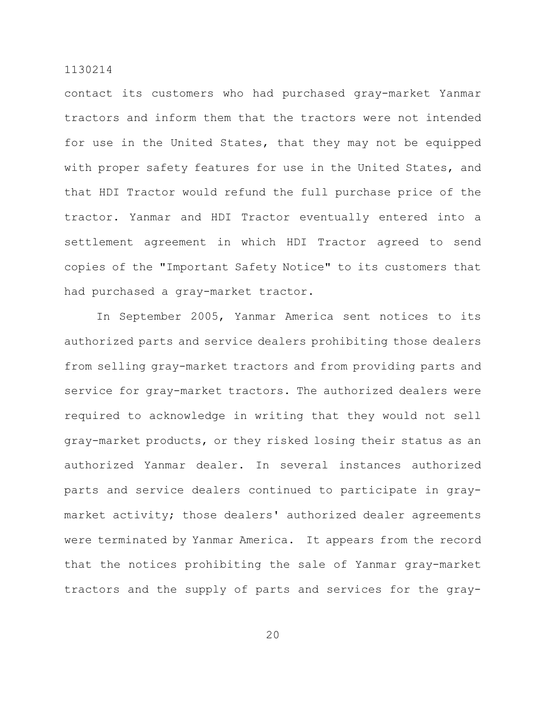contact its customers who had purchased gray-market Yanmar tractors and inform them that the tractors were not intended for use in the United States, that they may not be equipped with proper safety features for use in the United States, and that HDI Tractor would refund the full purchase price of the tractor. Yanmar and HDI Tractor eventually entered into a settlement agreement in which HDI Tractor agreed to send copies of the "Important Safety Notice" to its customers that had purchased a gray-market tractor.

In September 2005, Yanmar America sent notices to its authorized parts and service dealers prohibiting those dealers from selling gray-market tractors and from providing parts and service for gray-market tractors. The authorized dealers were required to acknowledge in writing that they would not sell gray-market products, or they risked losing their status as an authorized Yanmar dealer. In several instances authorized parts and service dealers continued to participate in graymarket activity; those dealers' authorized dealer agreements were terminated by Yanmar America. It appears from the record that the notices prohibiting the sale of Yanmar gray-market tractors and the supply of parts and services for the gray-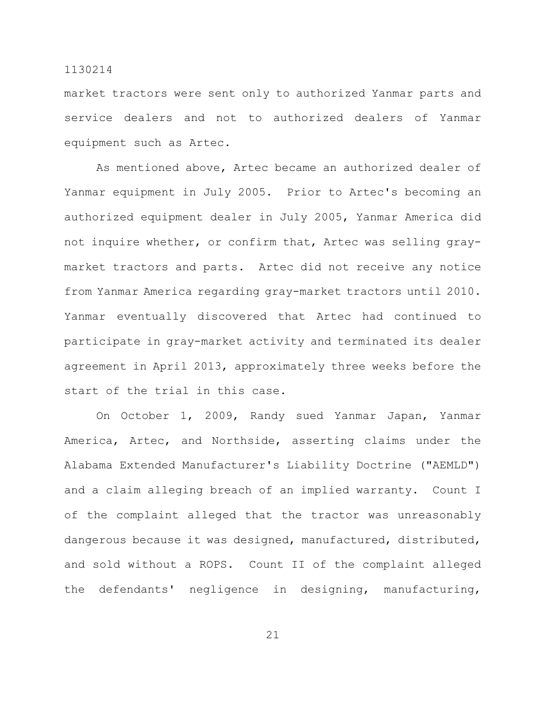market tractors were sent only to authorized Yanmar parts and service dealers and not to authorized dealers of Yanmar equipment such as Artec.

As mentioned above, Artec became an authorized dealer of Yanmar equipment in July 2005. Prior to Artec's becoming an authorized equipment dealer in July 2005, Yanmar America did not inquire whether, or confirm that, Artec was selling graymarket tractors and parts. Artec did not receive any notice from Yanmar America regarding gray-market tractors until 2010. Yanmar eventually discovered that Artec had continued to participate in gray-market activity and terminated its dealer agreement in April 2013, approximately three weeks before the start of the trial in this case.

On October 1, 2009, Randy sued Yanmar Japan, Yanmar America, Artec, and Northside, asserting claims under the Alabama Extended Manufacturer's Liability Doctrine ("AEMLD") and a claim alleging breach of an implied warranty. Count I of the complaint alleged that the tractor was unreasonably dangerous because it was designed, manufactured, distributed, and sold without a ROPS. Count II of the complaint alleged the defendants' negligence in designing, manufacturing,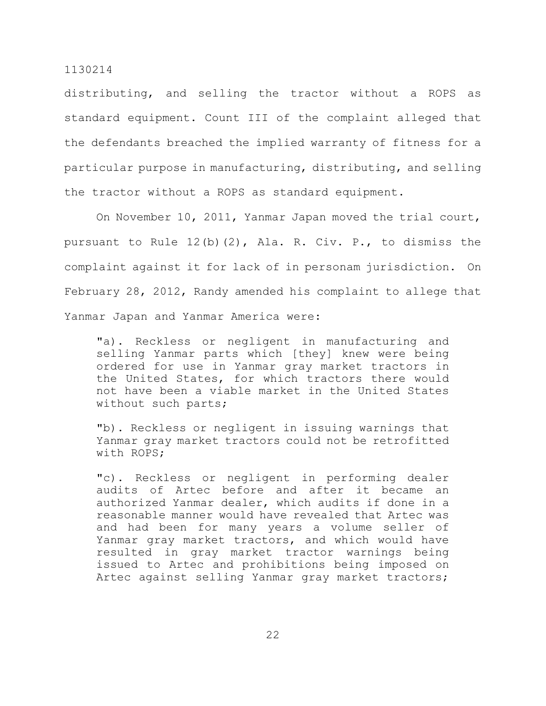distributing, and selling the tractor without a ROPS as standard equipment. Count III of the complaint alleged that the defendants breached the implied warranty of fitness for a particular purpose in manufacturing, distributing, and selling the tractor without a ROPS as standard equipment.

On November 10, 2011, Yanmar Japan moved the trial court, pursuant to Rule 12(b)(2), Ala. R. Civ. P., to dismiss the complaint against it for lack of in personam jurisdiction. On February 28, 2012, Randy amended his complaint to allege that Yanmar Japan and Yanmar America were:

"a). Reckless or negligent in manufacturing and selling Yanmar parts which [they] knew were being ordered for use in Yanmar gray market tractors in the United States, for which tractors there would not have been a viable market in the United States without such parts;

"b). Reckless or negligent in issuing warnings that Yanmar gray market tractors could not be retrofitted with ROPS;

"c). Reckless or negligent in performing dealer audits of Artec before and after it became an authorized Yanmar dealer, which audits if done in a reasonable manner would have revealed that Artec was and had been for many years a volume seller of Yanmar gray market tractors, and which would have resulted in gray market tractor warnings being issued to Artec and prohibitions being imposed on Artec against selling Yanmar gray market tractors;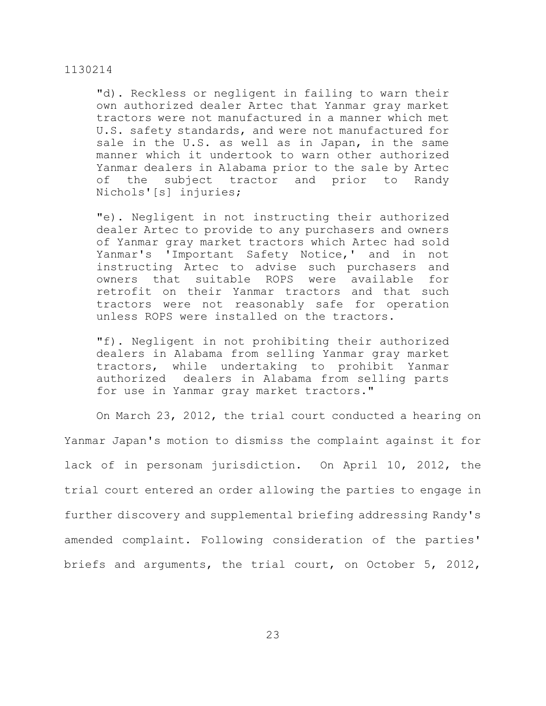"d). Reckless or negligent in failing to warn their own authorized dealer Artec that Yanmar gray market tractors were not manufactured in a manner which met U.S. safety standards, and were not manufactured for sale in the U.S. as well as in Japan, in the same manner which it undertook to warn other authorized Yanmar dealers in Alabama prior to the sale by Artec of the subject tractor and prior to Randy Nichols'[s] injuries;

"e). Negligent in not instructing their authorized dealer Artec to provide to any purchasers and owners of Yanmar gray market tractors which Artec had sold Yanmar's 'Important Safety Notice,' and in not instructing Artec to advise such purchasers and owners that suitable ROPS were available for retrofit on their Yanmar tractors and that such tractors were not reasonably safe for operation unless ROPS were installed on the tractors.

"f). Negligent in not prohibiting their authorized dealers in Alabama from selling Yanmar gray market tractors, while undertaking to prohibit Yanmar authorized dealers in Alabama from selling parts for use in Yanmar gray market tractors."

On March 23, 2012, the trial court conducted a hearing on Yanmar Japan's motion to dismiss the complaint against it for lack of in personam jurisdiction. On April 10, 2012, the trial court entered an order allowing the parties to engage in further discovery and supplemental briefing addressing Randy's amended complaint. Following consideration of the parties' briefs and arguments, the trial court, on October 5, 2012,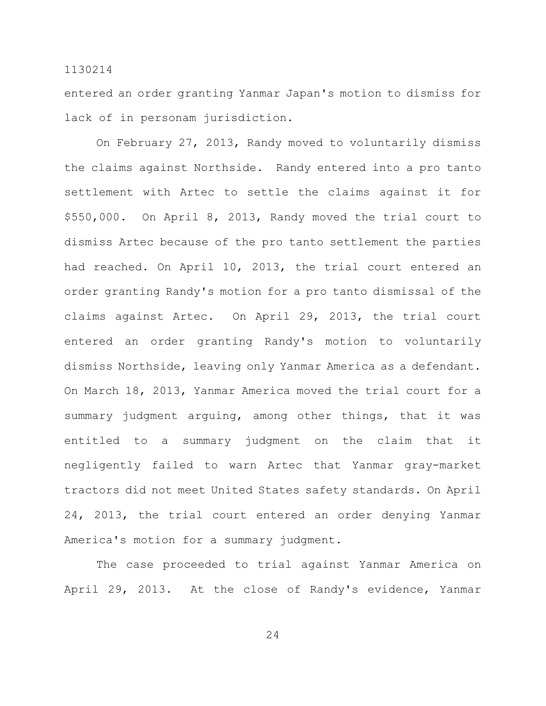entered an order granting Yanmar Japan's motion to dismiss for lack of in personam jurisdiction.

On February 27, 2013, Randy moved to voluntarily dismiss the claims against Northside. Randy entered into a pro tanto settlement with Artec to settle the claims against it for \$550,000. On April 8, 2013, Randy moved the trial court to dismiss Artec because of the pro tanto settlement the parties had reached. On April 10, 2013, the trial court entered an order granting Randy's motion for a pro tanto dismissal of the claims against Artec. On April 29, 2013, the trial court entered an order granting Randy's motion to voluntarily dismiss Northside, leaving only Yanmar America as a defendant. On March 18, 2013, Yanmar America moved the trial court for a summary judgment arguing, among other things, that it was entitled to a summary judgment on the claim that it negligently failed to warn Artec that Yanmar gray-market tractors did not meet United States safety standards. On April 24, 2013, the trial court entered an order denying Yanmar America's motion for a summary judgment.

The case proceeded to trial against Yanmar America on April 29, 2013. At the close of Randy's evidence, Yanmar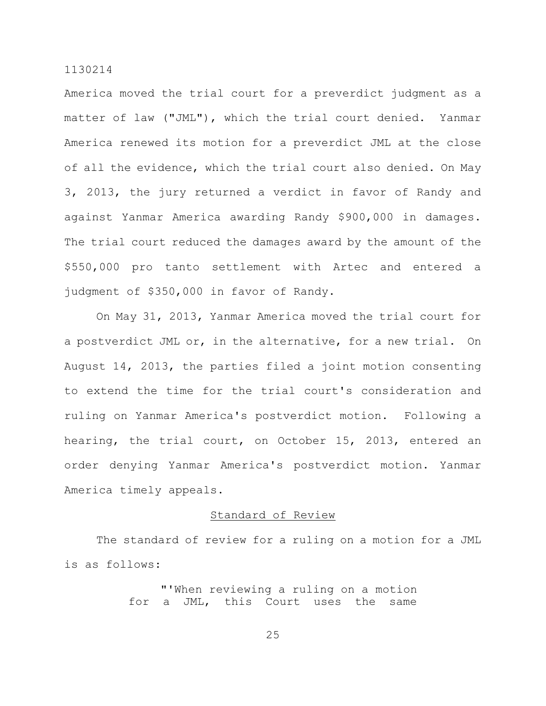America moved the trial court for a preverdict judgment as a matter of law ("JML"), which the trial court denied. Yanmar America renewed its motion for a preverdict JML at the close of all the evidence, which the trial court also denied. On May 3, 2013, the jury returned a verdict in favor of Randy and against Yanmar America awarding Randy \$900,000 in damages. The trial court reduced the damages award by the amount of the \$550,000 pro tanto settlement with Artec and entered a judgment of \$350,000 in favor of Randy.

On May 31, 2013, Yanmar America moved the trial court for a postverdict JML or, in the alternative, for a new trial. On August 14, 2013, the parties filed a joint motion consenting to extend the time for the trial court's consideration and ruling on Yanmar America's postverdict motion. Following a hearing, the trial court, on October 15, 2013, entered an order denying Yanmar America's postverdict motion. Yanmar America timely appeals.

# Standard of Review

The standard of review for a ruling on a motion for a JML is as follows:

> "'When reviewing a ruling on a motion for a JML, this Court uses the same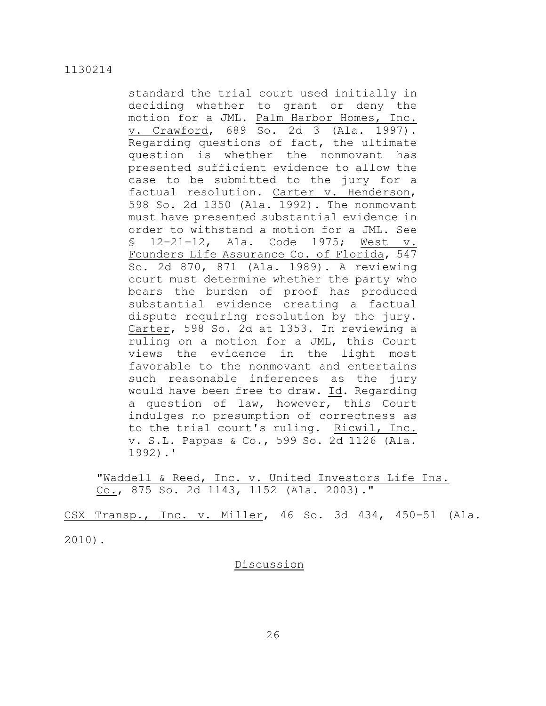standard the trial court used initially in deciding whether to grant or deny the motion for a JML. Palm Harbor Homes, Inc. v. Crawford, 689 So. 2d 3 (Ala. 1997). Regarding questions of fact, the ultimate question is whether the nonmovant has presented sufficient evidence to allow the case to be submitted to the jury for a factual resolution. Carter v. Henderson, 598 So. 2d 1350 (Ala. 1992). The nonmovant must have presented substantial evidence in order to withstand a motion for a JML. See § 12–21–12, Ala. Code 1975; West v. Founders Life Assurance Co. of Florida, 547 So. 2d 870, 871 (Ala. 1989). A reviewing court must determine whether the party who bears the burden of proof has produced substantial evidence creating a factual dispute requiring resolution by the jury. Carter, 598 So. 2d at 1353. In reviewing a ruling on a motion for a JML, this Court views the evidence in the light most favorable to the nonmovant and entertains such reasonable inferences as the jury would have been free to draw. Id. Regarding a question of law, however, this Court indulges no presumption of correctness as to the trial court's ruling. Ricwil, Inc. v. S.L. Pappas & Co., 599 So. 2d 1126 (Ala. 1992).'

"Waddell & Reed, Inc. v. United Investors Life Ins. Co., 875 So. 2d 1143, 1152 (Ala. 2003)."

CSX Transp., Inc. v. Miller, 46 So. 3d 434, 450-51 (Ala.

2010).

# Discussion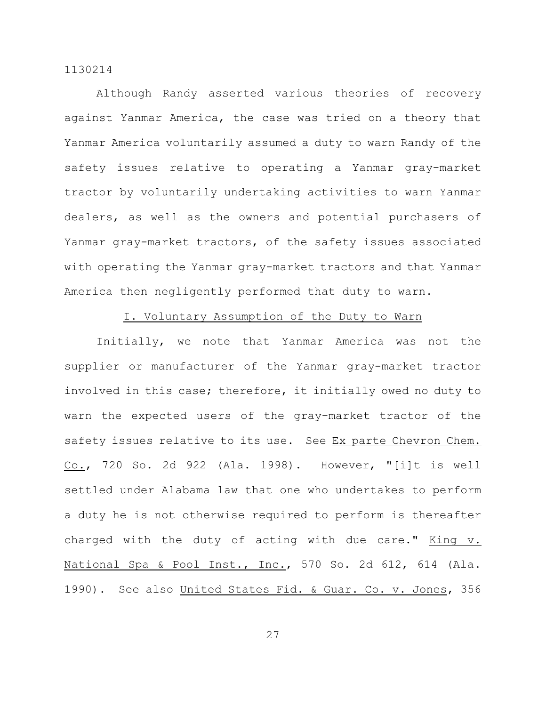Although Randy asserted various theories of recovery against Yanmar America, the case was tried on a theory that Yanmar America voluntarily assumed a duty to warn Randy of the safety issues relative to operating a Yanmar gray-market tractor by voluntarily undertaking activities to warn Yanmar dealers, as well as the owners and potential purchasers of Yanmar gray-market tractors, of the safety issues associated with operating the Yanmar gray-market tractors and that Yanmar America then negligently performed that duty to warn.

# I. Voluntary Assumption of the Duty to Warn

Initially, we note that Yanmar America was not the supplier or manufacturer of the Yanmar gray-market tractor involved in this case; therefore, it initially owed no duty to warn the expected users of the gray-market tractor of the safety issues relative to its use. See Ex parte Chevron Chem. Co., 720 So. 2d 922 (Ala. 1998). However, "[i]t is well settled under Alabama law that one who undertakes to perform a duty he is not otherwise required to perform is thereafter charged with the duty of acting with due care." King v. National Spa & Pool Inst., Inc., 570 So. 2d 612, 614 (Ala. 1990). See also United States Fid. & Guar. Co. v. Jones, 356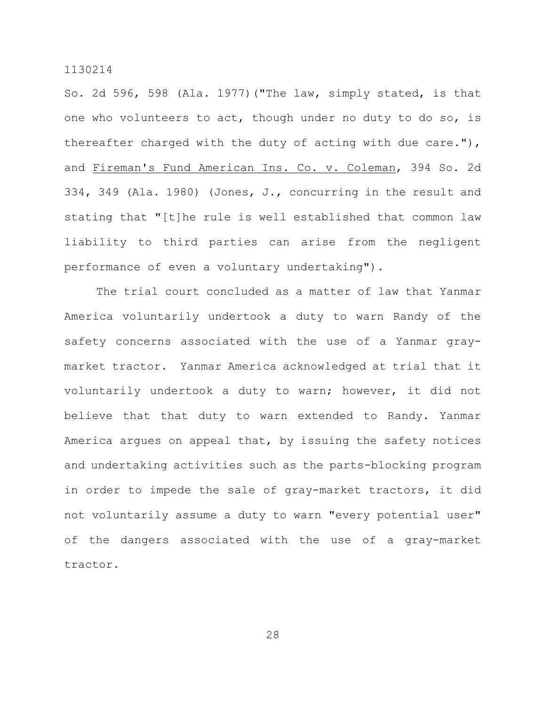So. 2d 596, 598 (Ala. 1977)("The law, simply stated, is that one who volunteers to act, though under no duty to do so, is thereafter charged with the duty of acting with due care."), and Fireman's Fund American Ins. Co. v. Coleman, 394 So. 2d 334, 349 (Ala. 1980) (Jones, J., concurring in the result and stating that "[t]he rule is well established that common law liability to third parties can arise from the negligent performance of even a voluntary undertaking").

The trial court concluded as a matter of law that Yanmar America voluntarily undertook a duty to warn Randy of the safety concerns associated with the use of a Yanmar graymarket tractor. Yanmar America acknowledged at trial that it voluntarily undertook a duty to warn; however, it did not believe that that duty to warn extended to Randy. Yanmar America argues on appeal that, by issuing the safety notices and undertaking activities such as the parts-blocking program in order to impede the sale of gray-market tractors, it did not voluntarily assume a duty to warn "every potential user" of the dangers associated with the use of a gray-market tractor.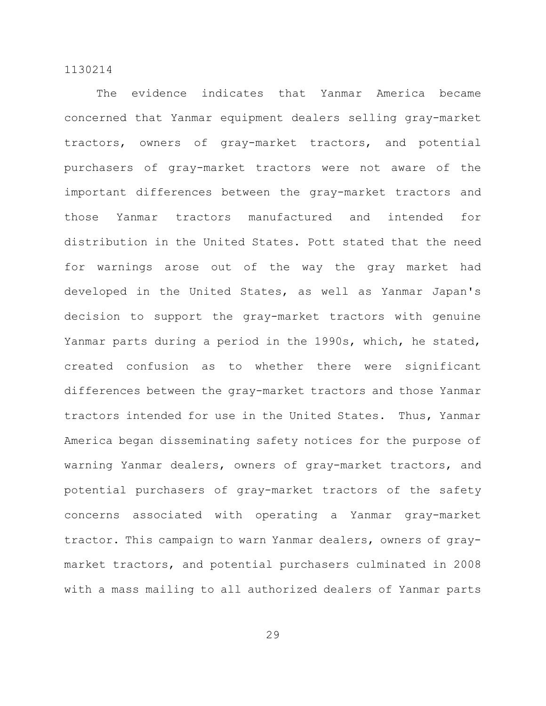The evidence indicates that Yanmar America became concerned that Yanmar equipment dealers selling gray-market tractors, owners of gray-market tractors, and potential purchasers of gray-market tractors were not aware of the important differences between the gray-market tractors and those Yanmar tractors manufactured and intended for distribution in the United States. Pott stated that the need for warnings arose out of the way the gray market had developed in the United States, as well as Yanmar Japan's decision to support the gray-market tractors with genuine Yanmar parts during a period in the 1990s, which, he stated, created confusion as to whether there were significant differences between the gray-market tractors and those Yanmar tractors intended for use in the United States. Thus, Yanmar America began disseminating safety notices for the purpose of warning Yanmar dealers, owners of gray-market tractors, and potential purchasers of gray-market tractors of the safety concerns associated with operating a Yanmar gray-market tractor. This campaign to warn Yanmar dealers, owners of graymarket tractors, and potential purchasers culminated in 2008 with a mass mailing to all authorized dealers of Yanmar parts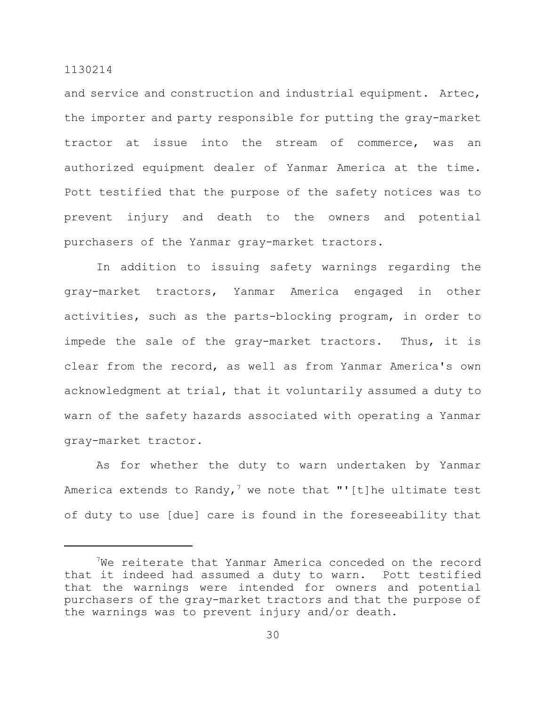and service and construction and industrial equipment. Artec, the importer and party responsible for putting the gray-market tractor at issue into the stream of commerce, was an authorized equipment dealer of Yanmar America at the time. Pott testified that the purpose of the safety notices was to prevent injury and death to the owners and potential purchasers of the Yanmar gray-market tractors.

In addition to issuing safety warnings regarding the gray-market tractors, Yanmar America engaged in other activities, such as the parts-blocking program, in order to impede the sale of the gray-market tractors. Thus, it is clear from the record, as well as from Yanmar America's own acknowledgment at trial, that it voluntarily assumed a duty to warn of the safety hazards associated with operating a Yanmar gray-market tractor.

As for whether the duty to warn undertaken by Yanmar America extends to Randy,<sup>7</sup> we note that "'[t]he ultimate test of duty to use [due] care is found in the foreseeability that

 $7$ We reiterate that Yanmar America conceded on the record that it indeed had assumed a duty to warn. Pott testified that the warnings were intended for owners and potential purchasers of the gray-market tractors and that the purpose of the warnings was to prevent injury and/or death.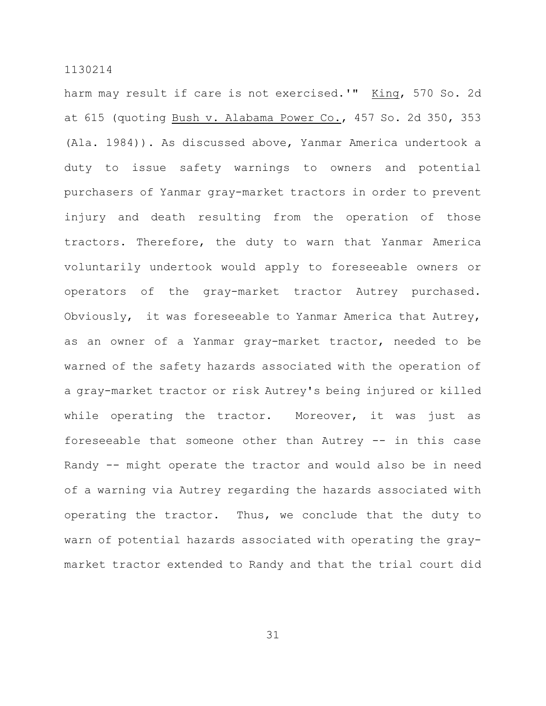harm may result if care is not exercised.'" King, 570 So. 2d at 615 (quoting Bush v. Alabama Power Co., 457 So. 2d 350, 353 (Ala. 1984)). As discussed above, Yanmar America undertook a duty to issue safety warnings to owners and potential purchasers of Yanmar gray-market tractors in order to prevent injury and death resulting from the operation of those tractors. Therefore, the duty to warn that Yanmar America voluntarily undertook would apply to foreseeable owners or operators of the gray-market tractor Autrey purchased. Obviously, it was foreseeable to Yanmar America that Autrey, as an owner of a Yanmar gray-market tractor, needed to be warned of the safety hazards associated with the operation of a gray-market tractor or risk Autrey's being injured or killed while operating the tractor. Moreover, it was just as foreseeable that someone other than Autrey -- in this case Randy -- might operate the tractor and would also be in need of a warning via Autrey regarding the hazards associated with operating the tractor. Thus, we conclude that the duty to warn of potential hazards associated with operating the graymarket tractor extended to Randy and that the trial court did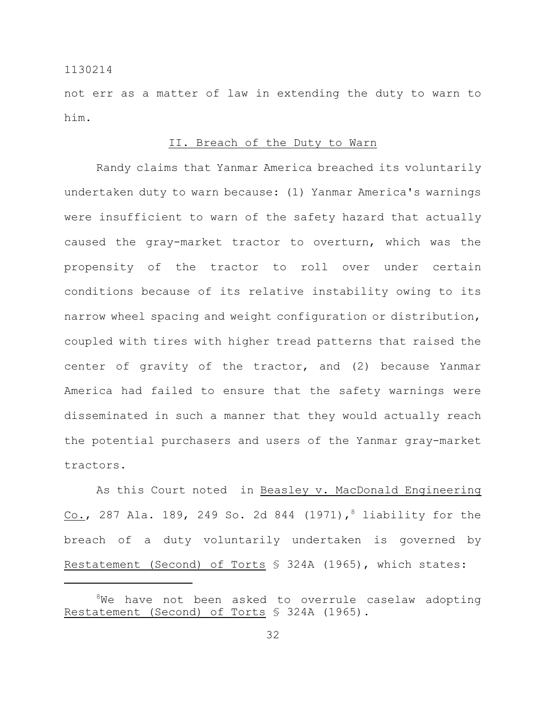$$
1 1 3 0 2 1 4\\
$$

not err as a matter of law in extending the duty to warn to him.

#### II. Breach of the Duty to Warn

Randy claims that Yanmar America breached its voluntarily undertaken duty to warn because: (1) Yanmar America's warnings were insufficient to warn of the safety hazard that actually caused the gray-market tractor to overturn, which was the propensity of the tractor to roll over under certain conditions because of its relative instability owing to its narrow wheel spacing and weight configuration or distribution, coupled with tires with higher tread patterns that raised the center of gravity of the tractor, and (2) because Yanmar America had failed to ensure that the safety warnings were disseminated in such a manner that they would actually reach the potential purchasers and users of the Yanmar gray-market tractors.

As this Court noted in Beasley v. MacDonald Engineering Co., 287 Ala. 189, 249 So. 2d 844 (1971), <sup>8</sup> liability for the breach of a duty voluntarily undertaken is governed by Restatement (Second) of Torts § 324A (1965), which states:

<sup>&</sup>lt;sup>8</sup>We have not been asked to overrule caselaw adopting Restatement (Second) of Torts § 324A (1965).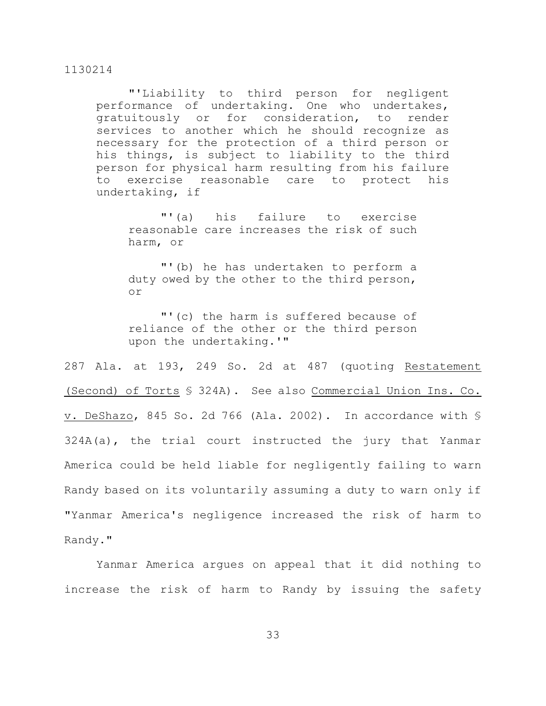"'Liability to third person for negligent performance of undertaking. One who undertakes, gratuitously or for consideration, to render services to another which he should recognize as necessary for the protection of a third person or his things, is subject to liability to the third person for physical harm resulting from his failure to exercise reasonable care to protect his undertaking, if

"'(a) his failure to exercise reasonable care increases the risk of such harm, or

"'(b) he has undertaken to perform a duty owed by the other to the third person, or

"'(c) the harm is suffered because of reliance of the other or the third person upon the undertaking.'"

287 Ala. at 193, 249 So. 2d at 487 (quoting Restatement (Second) of Torts § 324A). See also Commercial Union Ins. Co. v. DeShazo, 845 So. 2d 766 (Ala. 2002). In accordance with § 324A(a), the trial court instructed the jury that Yanmar America could be held liable for negligently failing to warn Randy based on its voluntarily assuming a duty to warn only if "Yanmar America's negligence increased the risk of harm to Randy."

Yanmar America argues on appeal that it did nothing to increase the risk of harm to Randy by issuing the safety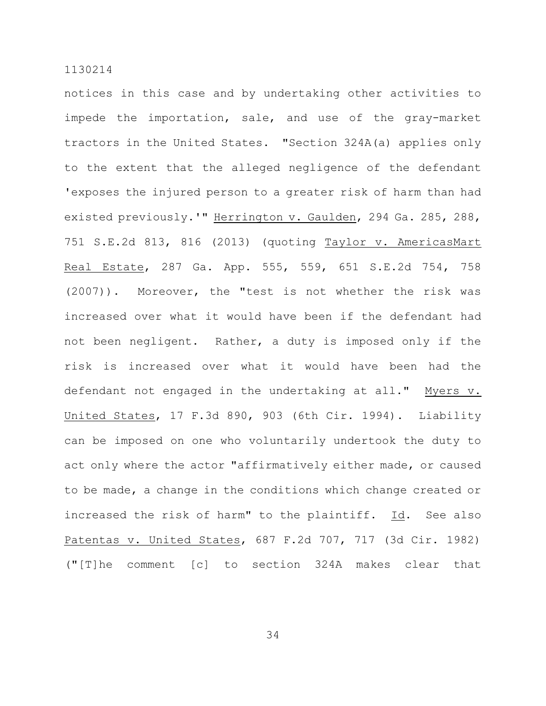notices in this case and by undertaking other activities to impede the importation, sale, and use of the gray-market tractors in the United States. "Section 324A(a) applies only to the extent that the alleged negligence of the defendant 'exposes the injured person to a greater risk of harm than had existed previously.'" Herrington v. Gaulden, 294 Ga. 285, 288, 751 S.E.2d 813, 816 (2013) (quoting Taylor v. AmericasMart Real Estate, 287 Ga. App. 555, 559, 651 S.E.2d 754, 758 (2007)). Moreover, the "test is not whether the risk was increased over what it would have been if the defendant had not been negligent. Rather, a duty is imposed only if the risk is increased over what it would have been had the defendant not engaged in the undertaking at all." Myers v. United States, 17 F.3d 890, 903 (6th Cir. 1994). Liability can be imposed on one who voluntarily undertook the duty to act only where the actor "affirmatively either made, or caused to be made, a change in the conditions which change created or increased the risk of harm" to the plaintiff. Id. See also Patentas v. United States, 687 F.2d 707, 717 (3d Cir. 1982) ("[T]he comment [c] to section 324A makes clear that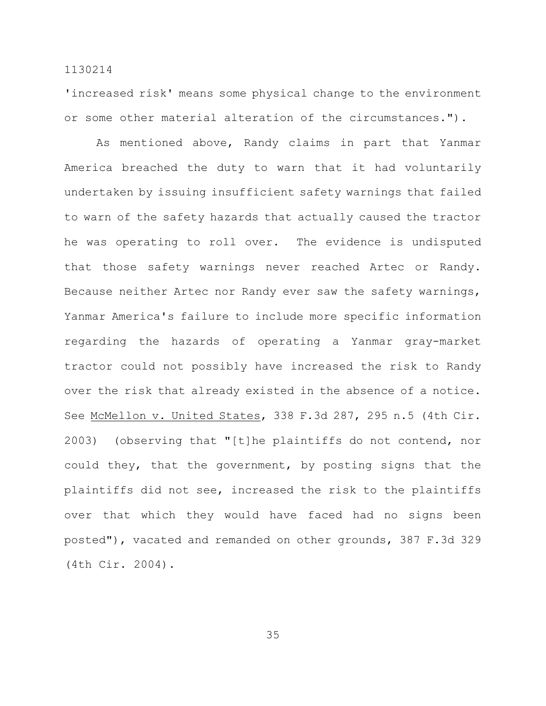'increased risk' means some physical change to the environment or some other material alteration of the circumstances.").

As mentioned above, Randy claims in part that Yanmar America breached the duty to warn that it had voluntarily undertaken by issuing insufficient safety warnings that failed to warn of the safety hazards that actually caused the tractor he was operating to roll over. The evidence is undisputed that those safety warnings never reached Artec or Randy. Because neither Artec nor Randy ever saw the safety warnings, Yanmar America's failure to include more specific information regarding the hazards of operating a Yanmar gray-market tractor could not possibly have increased the risk to Randy over the risk that already existed in the absence of a notice. See McMellon v. United States, 338 F.3d 287, 295 n.5 (4th Cir. 2003) (observing that "[t]he plaintiffs do not contend, nor could they, that the government, by posting signs that the plaintiffs did not see, increased the risk to the plaintiffs over that which they would have faced had no signs been posted"), vacated and remanded on other grounds, 387 F.3d 329 (4th Cir. 2004).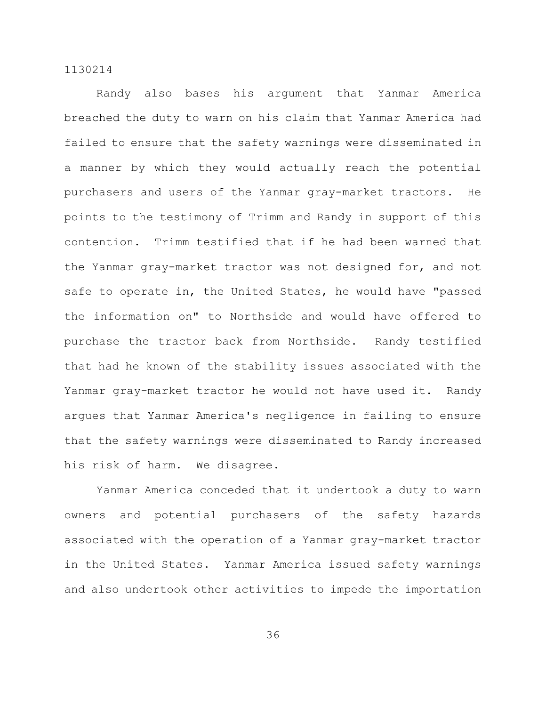Randy also bases his argument that Yanmar America breached the duty to warn on his claim that Yanmar America had failed to ensure that the safety warnings were disseminated in a manner by which they would actually reach the potential purchasers and users of the Yanmar gray-market tractors. He points to the testimony of Trimm and Randy in support of this contention. Trimm testified that if he had been warned that the Yanmar gray-market tractor was not designed for, and not safe to operate in, the United States, he would have "passed the information on" to Northside and would have offered to purchase the tractor back from Northside. Randy testified that had he known of the stability issues associated with the Yanmar gray-market tractor he would not have used it. Randy argues that Yanmar America's negligence in failing to ensure that the safety warnings were disseminated to Randy increased his risk of harm. We disagree.

Yanmar America conceded that it undertook a duty to warn owners and potential purchasers of the safety hazards associated with the operation of a Yanmar gray-market tractor in the United States. Yanmar America issued safety warnings and also undertook other activities to impede the importation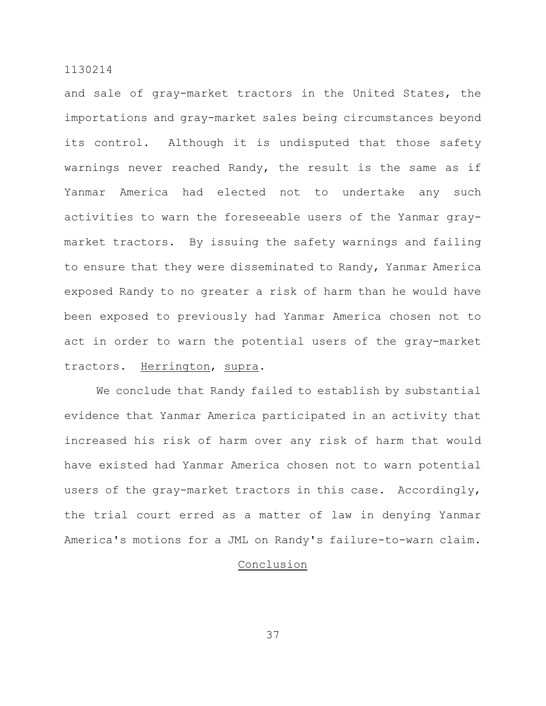and sale of gray-market tractors in the United States, the importations and gray-market sales being circumstances beyond its control. Although it is undisputed that those safety warnings never reached Randy, the result is the same as if Yanmar America had elected not to undertake any such activities to warn the foreseeable users of the Yanmar graymarket tractors. By issuing the safety warnings and failing to ensure that they were disseminated to Randy, Yanmar America exposed Randy to no greater a risk of harm than he would have been exposed to previously had Yanmar America chosen not to act in order to warn the potential users of the gray-market tractors. Herrington, supra.

We conclude that Randy failed to establish by substantial evidence that Yanmar America participated in an activity that increased his risk of harm over any risk of harm that would have existed had Yanmar America chosen not to warn potential users of the gray-market tractors in this case. Accordingly, the trial court erred as a matter of law in denying Yanmar America's motions for a JML on Randy's failure-to-warn claim.

## Conclusion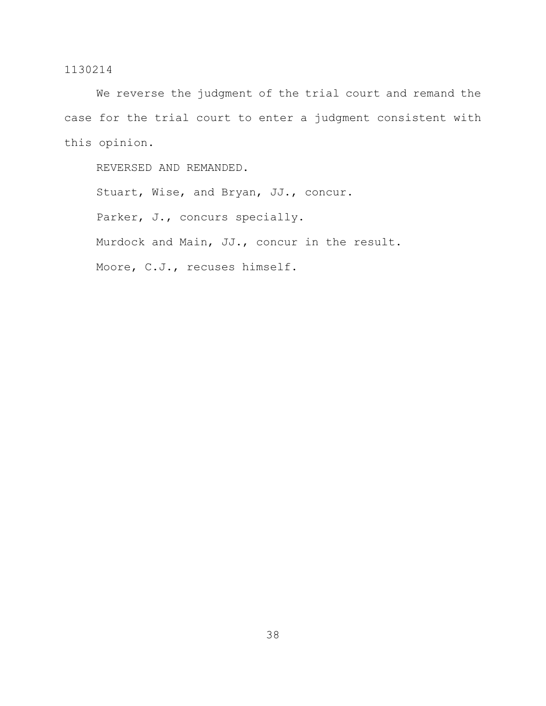We reverse the judgment of the trial court and remand the case for the trial court to enter a judgment consistent with this opinion.

REVERSED AND REMANDED. Stuart, Wise, and Bryan, JJ., concur. Parker, J., concurs specially. Murdock and Main, JJ., concur in the result. Moore, C.J., recuses himself.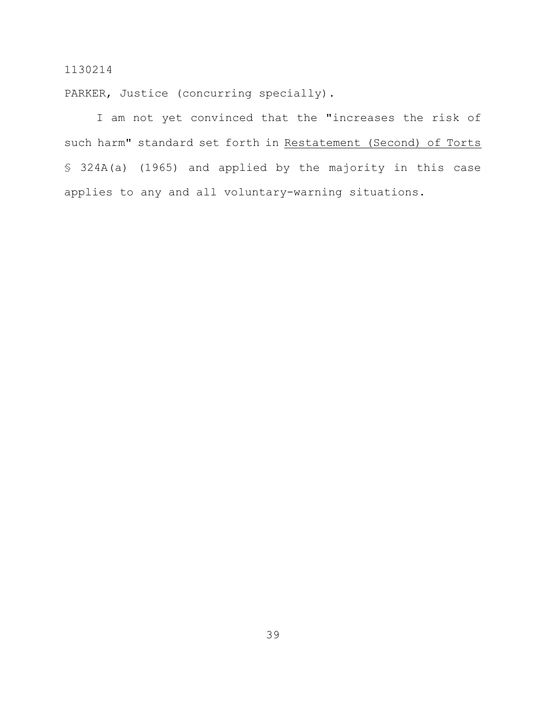PARKER, Justice (concurring specially).

I am not yet convinced that the "increases the risk of such harm" standard set forth in Restatement (Second) of Torts § 324A(a) (1965) and applied by the majority in this case applies to any and all voluntary-warning situations.